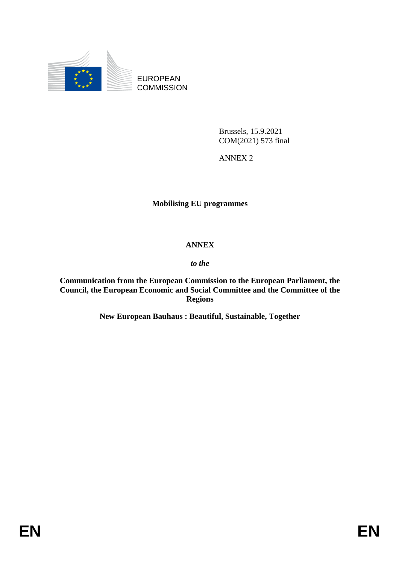

EUROPEAN **COMMISSION** 

> Brussels, 15.9.2021 COM(2021) 573 final

ANNEX 2

# **Mobilising EU programmes**

## **ANNEX**

## *to the*

**Communication from the European Commission to the European Parliament, the Council, the European Economic and Social Committee and the Committee of the Regions**

**New European Bauhaus : Beautiful, Sustainable, Together**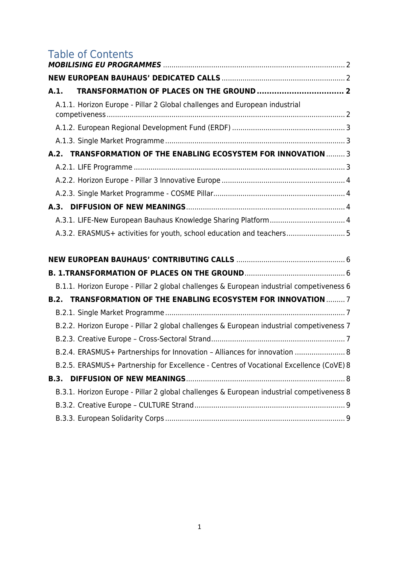# Table of Contents

| A.1.        |                                                                                          |  |
|-------------|------------------------------------------------------------------------------------------|--|
|             | A.1.1. Horizon Europe - Pillar 2 Global challenges and European industrial               |  |
|             |                                                                                          |  |
|             |                                                                                          |  |
|             | A.2. TRANSFORMATION OF THE ENABLING ECOSYSTEM FOR INNOVATION  3                          |  |
|             |                                                                                          |  |
|             |                                                                                          |  |
|             |                                                                                          |  |
|             |                                                                                          |  |
|             | A.3.1. LIFE-New European Bauhaus Knowledge Sharing Platform 4                            |  |
|             | A.3.2. ERASMUS+ activities for youth, school education and teachers 5                    |  |
|             |                                                                                          |  |
|             |                                                                                          |  |
|             |                                                                                          |  |
|             | B.1.1. Horizon Europe - Pillar 2 global challenges & European industrial competiveness 6 |  |
|             | <b>B.2. TRANSFORMATION OF THE ENABLING ECOSYSTEM FOR INNOVATION  7</b>                   |  |
|             |                                                                                          |  |
|             | B.2.2. Horizon Europe - Pillar 2 global challenges & European industrial competiveness 7 |  |
|             |                                                                                          |  |
|             | B.2.4. ERASMUS+ Partnerships for Innovation - Alliances for innovation  8                |  |
|             | B.2.5. ERASMUS+ Partnership for Excellence - Centres of Vocational Excellence (CoVE) 8   |  |
| <b>B.3.</b> |                                                                                          |  |
|             | B.3.1. Horizon Europe - Pillar 2 global challenges & European industrial competiveness 8 |  |
|             |                                                                                          |  |
|             |                                                                                          |  |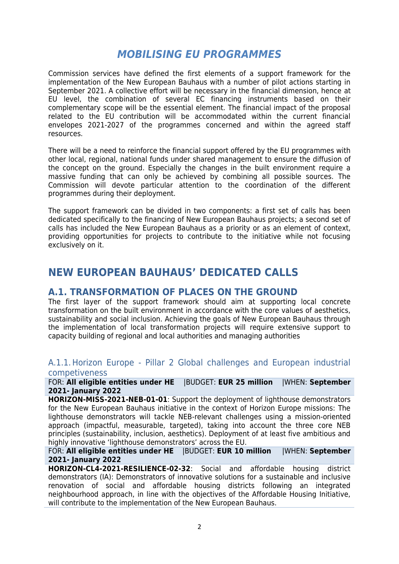# *MOBILISING EU PROGRAMMES*

Commission services have defined the first elements of a support framework for the implementation of the New European Bauhaus with a number of pilot actions starting in September 2021. A collective effort will be necessary in the financial dimension, hence at EU level, the combination of several EC financing instruments based on their complementary scope will be the essential element. The financial impact of the proposal related to the EU contribution will be accommodated within the current financial envelopes 2021-2027 of the programmes concerned and within the agreed staff resources.

There will be a need to reinforce the financial support offered by the EU programmes with other local, regional, national funds under shared management to ensure the diffusion of the concept on the ground. Especially the changes in the built environment require a massive funding that can only be achieved by combining all possible sources. The Commission will devote particular attention to the coordination of the different programmes during their deployment.

The support framework can be divided in two components: a first set of calls has been dedicated specifically to the financing of New European Bauhaus projects; a second set of calls has included the New European Bauhaus as a priority or as an element of context, providing opportunities for projects to contribute to the initiative while not focusing exclusively on it.

# **NEW EUROPEAN BAUHAUS' DEDICATED CALLS**

# **A.1. TRANSFORMATION OF PLACES ON THE GROUND**

The first layer of the support framework should aim at supporting local concrete transformation on the built environment in accordance with the core values of aesthetics, sustainability and social inclusion. Achieving the goals of New European Bauhaus through the implementation of local transformation projects will require extensive support to capacity building of regional and local authorities and managing authorities

#### A.1.1.Horizon Europe - Pillar 2 Global challenges and European industrial competiveness

FOR: **All eligible entities under HE** |BUDGET: **EUR 25 million** |WHEN: **September 2021- January 2022**

**HORIZON-MISS-2021-NEB-01-01**: Support the deployment of lighthouse demonstrators for the New European Bauhaus initiative in the context of Horizon Europe missions: The lighthouse demonstrators will tackle NEB-relevant challenges using a mission-oriented approach (impactful, measurable, targeted), taking into account the three core NEB principles (sustainability, inclusion, aesthetics). Deployment of at least five ambitious and highly innovative 'lighthouse demonstrators' across the EU.

#### FOR: **All eligible entities under HE** |BUDGET: **EUR 10 million** |WHEN: **September 2021- January 2022**

**HORIZON-CL4-2021-RESILIENCE-02-32**: Social and affordable housing district demonstrators (IA): Demonstrators of innovative solutions for a sustainable and inclusive renovation of social and affordable housing districts following an integrated neighbourhood approach, in line with the objectives of the Affordable Housing Initiative, will contribute to the implementation of the New European Bauhaus.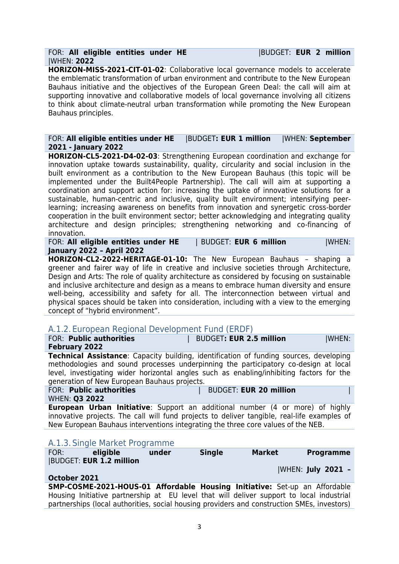#### FOR: **All eligible entities under HE** |BUDGET: **EUR 2 million** |WHEN: **2022**

**HORIZON-MISS-2021-CIT-01-02**: Collaborative local governance models to accelerate the emblematic transformation of urban environment and contribute to the New European Bauhaus initiative and the objectives of the European Green Deal: the call will aim at supporting innovative and collaborative models of local governance involving all citizens to think about climate-neutral urban transformation while promoting the New European Bauhaus principles.

#### FOR: **All eligible entities under HE** |BUDGET**: EUR 1 million** |WHEN: **September 2021 - January 2022**

**HORIZON-CL5-2021-D4-02-03**: Strengthening European coordination and exchange for innovation uptake towards sustainability, quality, circularity and social inclusion in the built environment as a contribution to the New European Bauhaus (this topic will be implemented under the Built4People Partnership). The call will aim at supporting a coordination and support action for: increasing the uptake of innovative solutions for a sustainable, human-centric and inclusive, quality built environment; intensifying peerlearning; increasing awareness on benefits from innovation and synergetic cross-border cooperation in the built environment sector; better acknowledging and integrating quality architecture and design principles; strengthening networking and co-financing of innovation.

FOR: **All eligible entities under HE** | BUDGET: **EUR 6 million** |WHEN: **January 2022 – April 2022**

**HORIZON-CL2-2022-HERITAGE-01-10:** The New European Bauhaus – shaping a greener and fairer way of life in creative and inclusive societies through Architecture, Design and Arts: The role of quality architecture as considered by focusing on sustainable and inclusive architecture and design as a means to embrace human diversity and ensure well-being, accessibility and safety for all. The interconnection between virtual and physical spaces should be taken into consideration, including with a view to the emerging concept of "hybrid environment".

## A.1.2. European Regional Development Fund (ERDF)

| FOR: Public authorities                         |                                                                                                                                                                                                                                                                                                                                  | <b>BUDGET: EUR 2.5 million</b> |                               | <b>WHEN:</b>     |
|-------------------------------------------------|----------------------------------------------------------------------------------------------------------------------------------------------------------------------------------------------------------------------------------------------------------------------------------------------------------------------------------|--------------------------------|-------------------------------|------------------|
| <b>February 2022</b>                            |                                                                                                                                                                                                                                                                                                                                  |                                |                               |                  |
|                                                 | <b>Technical Assistance:</b> Capacity building, identification of funding sources, developing<br>methodologies and sound processes underpinning the participatory co-design at local<br>level, investigating wider horizontal angles such as enabling/inhibiting factors for the<br>generation of New European Bauhaus projects. |                                |                               |                  |
| FOR: Public authorities<br><b>WHEN: Q3 2022</b> |                                                                                                                                                                                                                                                                                                                                  |                                | <b>BUDGET: EUR 20 million</b> |                  |
|                                                 | <b>European Urban Initiative:</b> Support an additional number (4 or more) of highly<br>innovative projects. The call will fund projects to deliver tangible, real-life examples of<br>New European Bauhaus interventions integrating the three core values of the NEB.                                                          |                                |                               |                  |
|                                                 | A.1.3. Single Market Programme                                                                                                                                                                                                                                                                                                   |                                |                               |                  |
| FOR:                                            | eligible<br>under                                                                                                                                                                                                                                                                                                                | <b>Single</b>                  | <b>Market</b>                 | <b>Programme</b> |

| FOR:         | eligible                       | under | <b>Single</b> | Market | <b>Programme</b>                                                                         |
|--------------|--------------------------------|-------|---------------|--------|------------------------------------------------------------------------------------------|
|              | <b>BUDGET: EUR 1.2 million</b> |       |               |        |                                                                                          |
|              |                                |       |               |        | WHEN: July 2021 -                                                                        |
| October 2021 |                                |       |               |        |                                                                                          |
|              |                                |       |               |        | <b>SMP-COSME-2021-HOUS-01 Affordable Housing Initiative:</b> Set-up an Affordable        |
|              |                                |       |               |        | Housing Initiative partnership at EU level that will deliver support to local industrial |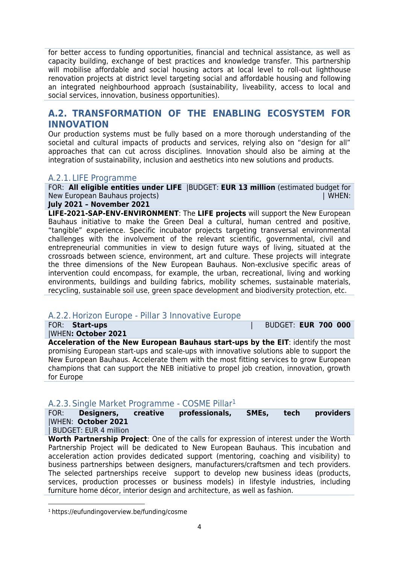for better access to funding opportunities, financial and technical assistance, as well as capacity building, exchange of best practices and knowledge transfer. This partnership will mobilise affordable and social housing actors at local level to roll-out lighthouse renovation projects at district level targeting social and affordable housing and following an integrated neighbourhood approach (sustainability, liveability, access to local and social services, innovation, business opportunities).

# **A.2. TRANSFORMATION OF THE ENABLING ECOSYSTEM FOR INNOVATION**

Our production systems must be fully based on a more thorough understanding of the societal and cultural impacts of products and services, relying also on "design for all" approaches that can cut across disciplines. Innovation should also be aiming at the integration of sustainability, inclusion and aesthetics into new solutions and products.

## A.2.1. LIFE Programme

FOR: **All eligible entities under LIFE** |BUDGET: **EUR 13 million** (estimated budget for New European Bauhaus projects) | WHEN: | WHEN: | WHEN: | WHEN: | WHEN: | WHEN: | WHEN: | WHEN: | WHEN: | WHEN: | WHEN: | WHEN: | WHEN: | WHEN: | WHEN: | WHEN: | WHEN: | WHEN: | WHEN: | WHEN: | WHEN: | WHEN: | WHEN: | WHEN:

### **July 2021 – November 2021**

**LIFE-2021-SAP-ENV-ENVIRONMENT**: The **LIFE projects** will support the New European Bauhaus initiative to make the Green Deal a cultural, human centred and positive, "tangible" experience. Specific incubator projects targeting transversal environmental challenges with the involvement of the relevant scientific, governmental, civil and entrepreneurial communities in view to design future ways of living, situated at the crossroads between science, environment, art and culture. These projects will integrate the three dimensions of the New European Bauhaus. Non-exclusive specific areas of intervention could encompass, for example, the urban, recreational, living and working environments, buildings and building fabrics, mobility schemes, sustainable materials, recycling, sustainable soil use, green space development and biodiversity protection, etc.

# A.2.2.Horizon Europe - Pillar 3 Innovative Europe

|WHEN**: October 2021**

FOR: **Start-ups** | BUDGET: **EUR 700 000**

**Acceleration of the New European Bauhaus start-ups by the EIT**: identify the most promising European start-ups and scale-ups with innovative solutions able to support the New European Bauhaus. Accelerate them with the most fitting services to grow European champions that can support the NEB initiative to propel job creation, innovation, growth for Europe

# A.2.3. Single Market Programme - COSME Pillar<sup>1</sup>

FOR: **Designers, creative professionals, SMEs, tech providers** |WHEN: **October 2021**

| BUDGET: EUR 4 million

**.** 

**Worth Partnership Project**: One of the calls for expression of interest under the Worth Partnership Project will be dedicated to New European Bauhaus. This incubation and acceleration action provides dedicated support (mentoring, coaching and visibility) to business partnerships between designers, manufacturers/craftsmen and tech providers. The selected partnerships receive support to develop new business ideas (products, services, production processes or business models) in lifestyle industries, including furniture home décor, interior design and architecture, as well as fashion.

<sup>1</sup> https://eufundingoverview.be/funding/cosme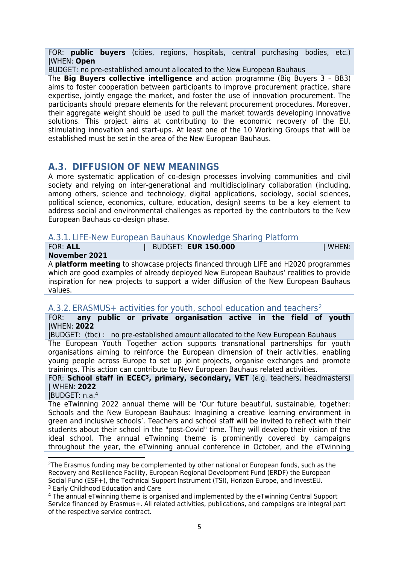FOR: **public buyers** (cities, regions, hospitals, central purchasing bodies, etc.) |WHEN: **Open**

BUDGET: no pre-established amount allocated to the New European Bauhaus

The **Big Buyers collective intelligence** and action programme (Big Buyers 3 – BB3) aims to foster cooperation between participants to improve procurement practice, share expertise, jointly engage the market, and foster the use of innovation procurement. The participants should prepare elements for the relevant procurement procedures. Moreover, their aggregate weight should be used to pull the market towards developing innovative solutions. This project aims at contributing to the economic recovery of the EU, stimulating innovation and start-ups. At least one of the 10 Working Groups that will be established must be set in the area of the New European Bauhaus.

# **A.3. DIFFUSION OF NEW MEANINGS**

A more systematic application of co-design processes involving communities and civil society and relying on inter-generational and multidisciplinary collaboration (including, among others, science and technology, digital applications, sociology, social sciences, political science, economics, culture, education, design) seems to be a key element to address social and environmental challenges as reported by the contributors to the New European Bauhaus co-design phase.

#### A.3.1. LIFE-New European Bauhaus Knowledge Sharing Platform

| <b>FOR: ALL</b> | <b>BUDGET: EUR 150.000</b> | WHEN: |
|-----------------|----------------------------|-------|
| November 2021   |                            |       |

A **platform meeting** to showcase projects financed through LIFE and H2020 programmes which are good examples of already deployed New European Bauhaus' realities to provide inspiration for new projects to support a wider diffusion of the New European Bauhaus values.

## A.3.2. ERASMUS+ activities for youth, school education and teachers<sup>2</sup>

FOR: **any public or private organisation active in the field of youth** |WHEN: **2022**

|BUDGET: (tbc) : no pre-established amount allocated to the New European Bauhaus The European Youth Together action supports transnational partnerships for youth organisations aiming to reinforce the European dimension of their activities, enabling young people across Europe to set up joint projects, organise exchanges and promote trainings. This action can contribute to New European Bauhaus related activities.

FOR: **School staff in ECEC<sup>3</sup>, primary, secondary, VET** (e.g. teachers, headmasters) | WHEN: **2022**

|BUDGET: n.a.<sup>4</sup>

1

The eTwinning 2022 annual theme will be 'Our future beautiful, sustainable, together: Schools and the New European Bauhaus: Imagining a creative learning environment in green and inclusive schools'. Teachers and school staff will be invited to reflect with their students about their school in the "post-Covid" time. They will develop their vision of the ideal school. The annual eTwinning theme is prominently covered by campaigns throughout the year, the eTwinning annual conference in October, and the eTwinning

<sup>&</sup>lt;sup>2</sup>The Erasmus funding may be complemented by other national or European funds, such as the Recovery and Resilience Facility, European Regional Development Fund (ERDF) the European Social Fund (ESF+), the Technical Support Instrument (TSI), Horizon Europe, and InvestEU. <sup>3</sup> Early Childhood Education and Care

<sup>4</sup> The annual eTwinning theme is organised and implemented by the eTwinning Central Support Service financed by Erasmus+. All related activities, publications, and campaigns are integral part of the respective service contract.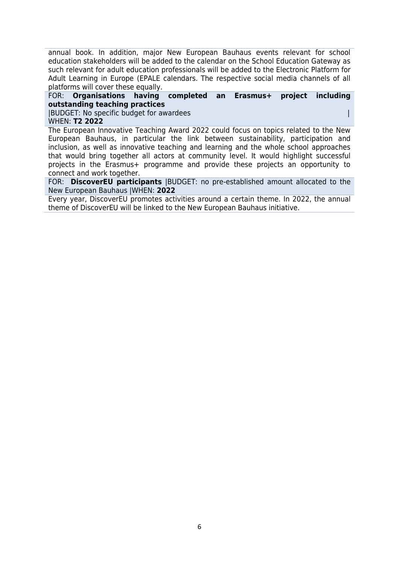annual book. In addition, major New European Bauhaus events relevant for school education stakeholders will be added to the calendar on the School Education Gateway as such relevant for adult education professionals will be added to the Electronic Platform for Adult Learning in Europe (EPALE calendars. The respective social media channels of all platforms will cover these equally.

#### FOR: **Organisations having completed an Erasmus+ project including outstanding teaching practices**

|BUDGET: No specific budget for awardees | WHEN: **T2 2022**

The European Innovative Teaching Award 2022 could focus on topics related to the New European Bauhaus, in particular the link between sustainability, participation and inclusion, as well as innovative teaching and learning and the whole school approaches that would bring together all actors at community level. It would highlight successful projects in the Erasmus+ programme and provide these projects an opportunity to connect and work together.

FOR: **DiscoverEU participants** |BUDGET: no pre-established amount allocated to the New European Bauhaus |WHEN: **2022**

Every year, DiscoverEU promotes activities around a certain theme. In 2022, the annual theme of DiscoverEU will be linked to the New European Bauhaus initiative.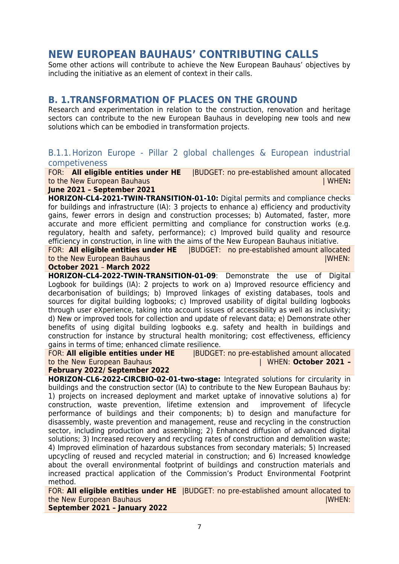# **NEW EUROPEAN BAUHAUS' CONTRIBUTING CALLS**

Some other actions will contribute to achieve the New European Bauhaus' objectives by including the initiative as an element of context in their calls.

# **B. 1.TRANSFORMATION OF PLACES ON THE GROUND**

Research and experimentation in relation to the construction, renovation and heritage sectors can contribute to the new European Bauhaus in developing new tools and new solutions which can be embodied in transformation projects.

## B.1.1.Horizon Europe - Pillar 2 global challenges & European industrial competiveness

FOR: **All eligible entities under HE** |BUDGET: no pre-established amount allocated to the New European Bauhaus| WHEN**:** 

#### **June 2021 – September 2021**

**HORIZON-CL4-2021-TWIN-TRANSITION-01-10:** Digital permits and compliance checks for buildings and infrastructure (IA): 3 projects to enhance a) efficiency and productivity gains, fewer errors in design and construction processes; b) Automated, faster, more accurate and more efficient permitting and compliance for construction works (e.g. regulatory, health and safety, performance); c) Improved build quality and resource efficiency in construction, in line with the aims of the New European Bauhaus initiative.

FOR: **All eligible entities under HE** |BUDGET: no pre-established amount allocated **to the New European Bauhaus | WHEN:**  $\mathbf{W}$  **New European Bauhaus | WHEN:**  $\mathbf{W}$  **WHEN:**  $\mathbf{W}$ 

#### **October 2021** – **March 2022**

**HORIZON-CL4-2022-TWIN-TRANSITION-01-09**: Demonstrate the use of Digital Logbook for buildings (IA): 2 projects to work on a) Improved resource efficiency and decarbonisation of buildings; b) Improved linkages of existing databases, tools and sources for digital building logbooks; c) Improved usability of digital building logbooks through user eXperience, taking into account issues of accessibility as well as inclusivity; d) New or improved tools for collection and update of relevant data; e) Demonstrate other benefits of using digital building logbooks e.g. safety and health in buildings and construction for instance by structural health monitoring; cost effectiveness, efficiency gains in terms of time; enhanced climate resilience.

FOR: **All eligible entities under HE** |BUDGET: no pre-established amount allocated to the New European Bauhaus | WHEN: **October 2021 –**

#### **February 2022/ September 2022**

**HORIZON-CL6-2022-CIRCBIO-02-01-two-stage:** Integrated solutions for circularity in buildings and the construction sector (IA) to contribute to the New European Bauhaus by: 1) projects on increased deployment and market uptake of innovative solutions a) for construction, waste prevention, lifetime extension and improvement of lifecycle performance of buildings and their components; b) to design and manufacture for disassembly, waste prevention and management, reuse and recycling in the construction sector, including production and assembling; 2) Enhanced diffusion of advanced digital solutions; 3) Increased recovery and recycling rates of construction and demolition waste; 4) Improved elimination of hazardous substances from secondary materials; 5) Increased upcycling of reused and recycled material in construction; and 6) Increased knowledge about the overall environmental footprint of buildings and construction materials and increased practical application of the Commission's Product Environmental Footprint method.

FOR: **All eligible entities under HE** |BUDGET: no pre-established amount allocated to **the New European Bauhaus |WHEN:**  $\blacksquare$ 

**September 2021 – January 2022**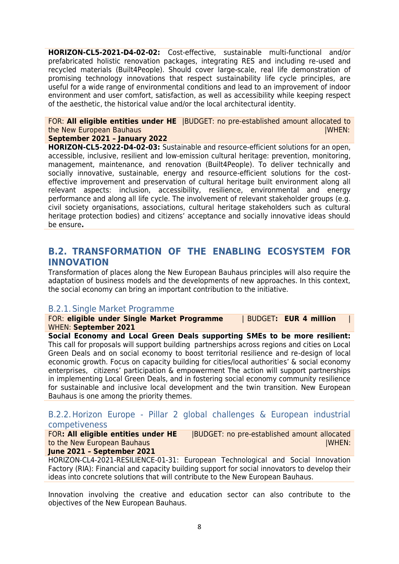**HORIZON-CL5-2021-D4-02-02:** Cost-effective, sustainable multi-functional and/or prefabricated holistic renovation packages, integrating RES and including re-used and recycled materials (Built4People). Should cover large-scale, real life demonstration of promising technology innovations that respect sustainability life cycle principles, are useful for a wide range of environmental conditions and lead to an improvement of indoor environment and user comfort, satisfaction, as well as accessibility while keeping respect of the aesthetic, the historical value and/or the local architectural identity.

# FOR: **All eligible entities under HE** |BUDGET: no pre-established amount allocated to the New European Bauhaus | WHEN: | WHEN: | WHEN: | WHEN: | WHEN: | WHEN: | WHEN: | WHEN: | WHEN: | WHEN: | WHEN: | WHEN: | WHEN: | WHEN: | WHEN: | WHEN: | WHEN: | WHEN: | WHEN: | WHEN: | WHEN: | WHEN: | WHEN: | WHEN: | WHE

#### **September 2021 – January 2022**

**HORIZON-CL5-2022-D4-02-03:** Sustainable and resource-efficient solutions for an open, accessible, inclusive, resilient and low-emission cultural heritage: prevention, monitoring, management, maintenance, and renovation (Built4People). To deliver technically and socially innovative, sustainable, energy and resource-efficient solutions for the costeffective improvement and preservation of cultural heritage built environment along all relevant aspects: inclusion, accessibility, resilience, environmental and energy performance and along all life cycle. The involvement of relevant stakeholder groups (e.g. civil society organisations, associations, cultural heritage stakeholders such as cultural heritage protection bodies) and citizens' acceptance and socially innovative ideas should be ensure**.**

# **B.2. TRANSFORMATION OF THE ENABLING ECOSYSTEM FOR INNOVATION**

Transformation of places along the New European Bauhaus principles will also require the adaptation of business models and the developments of new approaches. In this context, the social economy can bring an important contribution to the initiative.

# B.2.1. Single Market Programme

FOR: **eligible under Single Market Programme** | BUDGET**: EUR 4 million** | WHEN: **September 2021**

**Social Economy and Local Green Deals supporting SMEs to be more resilient:** This call for proposals will support building partnerships across regions and cities on Local Green Deals and on social economy to boost territorial resilience and re-design of local economic growth. Focus on capacity building for cities/local authorities' & social economy enterprises, citizens' participation & empowerment The action will support partnerships in implementing Local Green Deals, and in fostering social economy community resilience for sustainable and inclusive local development and the twin transition. New European Bauhaus is one among the priority themes.

# B.2.2.Horizon Europe - Pillar 2 global challenges & European industrial competiveness

FOR**: All eligible entities under HE** |BUDGET: no pre-established amount allocated to the New European Bauhaus|WHEN: **June 2021 – September 2021**

#### HORIZON-CL4-2021-RESILIENCE-01-31: European Technological and Social Innovation Factory (RIA): Financial and capacity building support for social innovators to develop their ideas into concrete solutions that will contribute to the New European Bauhaus.

Innovation involving the creative and education sector can also contribute to the objectives of the New European Bauhaus.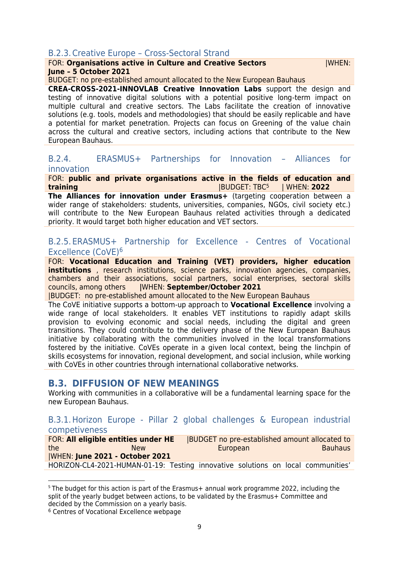# B.2.3.Creative Europe – Cross-Sectoral Strand

#### FOR: **Organisations active in Culture and Creative Sectors** |WHEN: **June – 5 October 2021**

#### BUDGET: no pre-established amount allocated to the New European Bauhaus

**CREA-CROSS-2021-INNOVLAB Creative Innovation Labs** support the design and testing of innovative digital solutions with a potential positive long-term impact on multiple cultural and creative sectors. The Labs facilitate the creation of innovative solutions (e.g. tools, models and methodologies) that should be easily replicable and have a potential for market penetration. Projects can focus on Greening of the value chain across the cultural and creative sectors, including actions that contribute to the New European Bauhaus.

#### B.2.4. ERASMUS+ Partnerships for Innovation – Alliances for innovation

#### FOR: **public and private organisations active in the fields of education and training** |BUDGET: TBC<sup>5</sup> | WHEN: **2022**

**The Alliances for innovation under Erasmus+** (targeting cooperation between a wider range of stakeholders: students, universities, companies, NGOs, civil society etc.) will contribute to the New European Bauhaus related activities through a dedicated priority. It would target both higher education and VET sectors.

# B.2.5. ERASMUS+ Partnership for Excellence - Centres of Vocational Excellence (CoVE)<sup>6</sup>

FOR: **Vocational Education and Training (VET) providers, higher education institutions** , research institutions, science parks, innovation agencies, companies, chambers and their associations, social partners, social enterprises, sectoral skills councils, among others **|**WHEN: **September/October 2021**

|BUDGET: no pre-established amount allocated to the New European Bauhaus

The CoVE initiative supports a bottom-up approach to **Vocational Excellence** involving a wide range of local stakeholders. It enables VET institutions to rapidly adapt skills provision to evolving economic and social needs, including the digital and green transitions. They could contribute to the delivery phase of the New European Bauhaus initiative by collaborating with the communities involved in the local transformations fostered by the initiative. CoVEs operate in a given local context, being the linchpin of skills ecosystems for innovation, regional development, and social inclusion, while working with CoVEs in other countries through international collaborative networks.

# **B.3. DIFFUSION OF NEW MEANINGS**

Working with communities in a collaborative will be a fundamental learning space for the new European Bauhaus.

#### B.3.1.Horizon Europe - Pillar 2 global challenges & European industrial competiveness

| FOR: All eligible entities under HE |                                                                                  |  | BUDGET no pre-established amount allocated to |  |  |  |                |
|-------------------------------------|----------------------------------------------------------------------------------|--|-----------------------------------------------|--|--|--|----------------|
| the                                 | <b>New</b>                                                                       |  | European                                      |  |  |  | <b>Bauhaus</b> |
|                                     | <b>IWHEN: June 2021 - October 2021</b>                                           |  |                                               |  |  |  |                |
|                                     | HORIZON-CL4-2021-HUMAN-01-19: Testing innovative solutions on local communities' |  |                                               |  |  |  |                |

<sup>5</sup> The budget for this action is part of the Erasmus+ annual work programme 2022, including the split of the yearly budget between actions, to be validated by the Erasmus+ Committee and decided by the Commission on a yearly basis.

<sup>6</sup> Centres of Vocational Excellence webpage

**.**